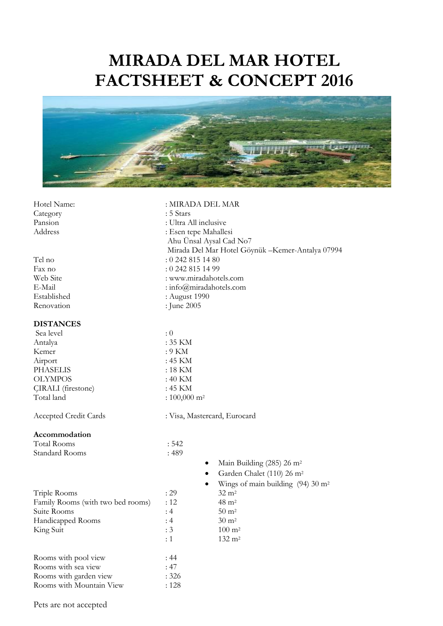# **MIRADA DEL MAR HOTEL FACTSHEET & CONCEPT 2016**



| Hotel Name:                       | : MIRADA DEL MAR             |                                                   |  |  |  |
|-----------------------------------|------------------------------|---------------------------------------------------|--|--|--|
| Category                          | : 5 Stars                    |                                                   |  |  |  |
| Pansion                           | : Ultra All inclusive        |                                                   |  |  |  |
| Address                           | : Esen tepe Mahallesi        |                                                   |  |  |  |
|                                   | Ahu Unsal Aysal Cad No7      |                                                   |  |  |  |
|                                   |                              | Mirada Del Mar Hotel Göynük - Kemer-Antalya 07994 |  |  |  |
| Tel no                            | $: 0$ 242 815 14 80          |                                                   |  |  |  |
| Fax no                            | : 0 242 815 14 99            |                                                   |  |  |  |
| Web Site                          | : www.miradahotels.com       |                                                   |  |  |  |
| E-Mail                            | : info@miradahotels.com      |                                                   |  |  |  |
| Established                       | : August 1990                |                                                   |  |  |  |
| Renovation                        | : June 2005                  |                                                   |  |  |  |
| <b>DISTANCES</b>                  |                              |                                                   |  |  |  |
| Sea level                         | : 0                          |                                                   |  |  |  |
| Antalya                           | : 35 KM                      |                                                   |  |  |  |
| Kemer                             | $: 9$ KM                     |                                                   |  |  |  |
| Airport                           | : 45 KM                      |                                                   |  |  |  |
| <b>PHASELIS</b>                   | $:18$ KM                     |                                                   |  |  |  |
| <b>OLYMPOS</b>                    | $:40$ KM                     |                                                   |  |  |  |
| <b>CIRALI</b> (firestone)         | : 45 KM                      |                                                   |  |  |  |
| Total land                        | : $100,000$ m <sup>2</sup>   |                                                   |  |  |  |
| Accepted Credit Cards             | : Visa, Mastercard, Eurocard |                                                   |  |  |  |
| Accommodation                     |                              |                                                   |  |  |  |
| <b>Total Rooms</b>                | : 542                        |                                                   |  |  |  |
| Standard Rooms                    | :489                         |                                                   |  |  |  |
|                                   | $\bullet$                    | Main Building (285) 26 m <sup>2</sup>             |  |  |  |
|                                   | $\bullet$                    | Garden Chalet (110) 26 m <sup>2</sup>             |  |  |  |
|                                   | ٠                            | Wings of main building $(94)$ 30 m <sup>2</sup>   |  |  |  |
| Triple Rooms                      | : 29                         | $32 \text{ m}^2$                                  |  |  |  |
| Family Rooms (with two bed rooms) | :12                          | $48 \text{ m}^2$                                  |  |  |  |
| Suite Rooms                       | :4                           | $50 \text{ m}^2$                                  |  |  |  |
| Handicapped Rooms                 | : 4                          | $30 \text{ m}^2$                                  |  |  |  |
| King Suit                         | : 3                          | $100 \; \mathrm{m}^2$                             |  |  |  |
|                                   | : 1                          | $132 \; \text{m}^2$                               |  |  |  |
| Rooms with pool view              | : 44                         |                                                   |  |  |  |
| Rooms with sea view               | :47                          |                                                   |  |  |  |
| Rooms with garden view            | : 326                        |                                                   |  |  |  |
| Rooms with Mountain View          | : 128                        |                                                   |  |  |  |

Pets are not accepted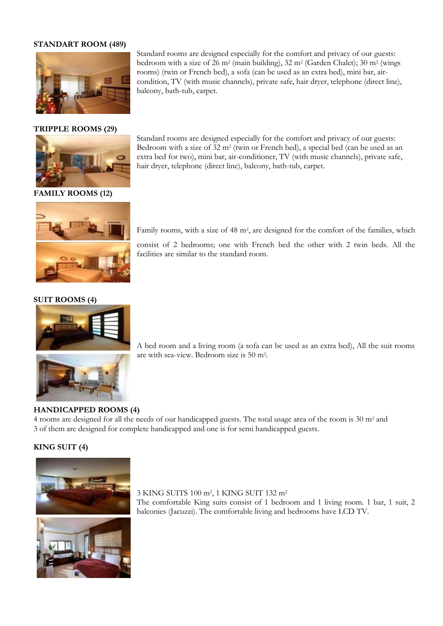## **STANDART ROOM (489)**



#### **TRIPPLE ROOMS (29)**



**FAMILY ROOMS (12)**



## Standard rooms are designed especially for the comfort and privacy of our guests: bedroom with a size of 26 m<sup>2</sup> (main building), 32 m<sup>2</sup> (Garden Chalet); 30 m<sup>2</sup> (wings rooms) (twin or French bed), a sofa (can be used as an extra bed), mini bar, aircondition, TV (with music channels), private safe, hair dryer, telephone (direct line), balcony, bath-tub, carpet.

Standard rooms are designed especially for the comfort and privacy of our guests: Bedroom with a size of 32 m<sup>2</sup> (twin or French bed), a special bed (can be used as an extra bed for two), mini bar, air-conditioner, TV (with music channels), private safe, hair dryer, telephone (direct line), balcony, bath-tub, carpet.

Family rooms, with a size of 48 m<sup>2</sup>, are designed for the comfort of the families, which

consist of 2 bedrooms; one with French bed the other with 2 twin beds. All the facilities are similar to the standard room.

## **SUIT ROOMS (4)**



A bed room and a living room (a sofa can be used as an extra bed), All the suit rooms are with sea-view. Bedroom size is 50 m<sup>2</sup> .

#### **HANDICAPPED ROOMS (4)**

4 rooms are designed for all the needs of our handicapped guests. The total usage area of the room is 30 m<sup>2</sup> and 3 of them are designed for complete handicapped and one is for semi handicapped guests.

## **KING SUIT (4)**



#### 3 KING SUITS 100 m<sup>2</sup> , 1 KING SUIT 132 m<sup>2</sup>

The comfortable King suits consist of 1 bedroom and 1 living room. 1 bar, 1 suit, 2 balconies (Jacuzzi). The comfortable living and bedrooms have LCD TV.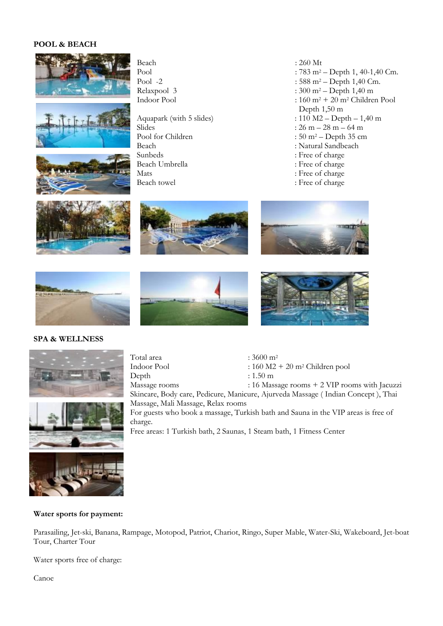# **POOL & BEACH**







Beach :  $260 \text{ Mt}$ <br>Pool :  $783 \text{ m}^2$ 

 $\text{Sides}$  :  $26 \text{ m} - 28 \text{ m} - 64 \text{ m}$ Pool for Children : 50 m<sup>2</sup> – Depth 35 cm Beach : Natural Sandbeach Sunbeds : Free of charge Mats : Free of charge<br>Beach towel : Free of charge : Free of charge

Pool  $\cdot$  783 m<sup>2</sup> – Depth 1, 40-1,40 Cm.<br>Pool -2 : 588 m<sup>2</sup> – Depth 1.40 Cm. Pool -2 :  $588 \text{ m}^2 - \text{Depth } 1,40 \text{ Cm.}$ <br>Relaxpool 3 :  $300 \text{ m}^2 - \text{Depth } 1,40 \text{ m}$  $: 300 \text{ m}^2 - \text{Depth } 1,40 \text{ m}$ Indoor Pool :  $160 \text{ m}^2 + 20 \text{ m}^2$  Children Pool Depth 1,50 m Aquapark (with 5 slides)  $: 110 M2 - \text{Depth} - 1,40 \text{ m}$ 

- 
- 
- 
- : Free of charge
- 
- : Free of charge













## **SPA & WELLNESS**



Total area  $: 3600 \text{ m}^2$ <br>Indoor Pool  $: 160 \text{ M2}$  $160 M2 + 20 m<sup>2</sup>$  Children pool Depth : 1.50 m Massage rooms : 16 Massage rooms + 2 VIP rooms with Jacuzzi Skincare, Body care, Pedicure, Manicure, Ajurveda Massage ( Indian Concept ), Thai

Massage, Mali Massage, Relax rooms

For guests who book a massage, Turkish bath and Sauna in the VIP areas is free of charge.

Free areas: 1 Turkish bath, 2 Saunas, 1 Steam bath, 1 Fitness Center



**Water sports for payment:**

Parasailing, Jet-ski, Banana, Rampage, Motopod, Patriot, Chariot, Ringo, Super Mable, Water-Ski, Wakeboard, Jet-boat Tour, Charter Tour

Water sports free of charge:

Canoe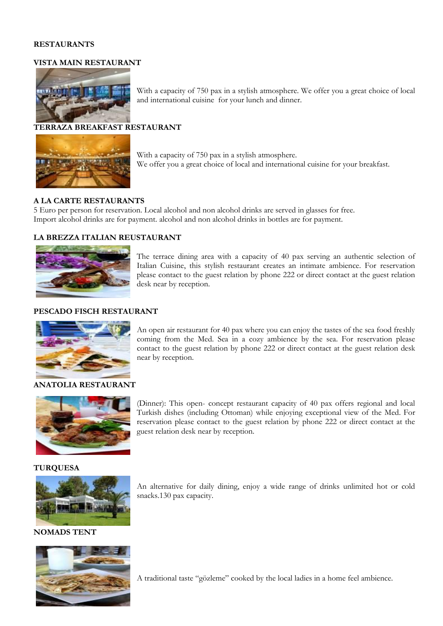## **RESTAURANTS**

### **VISTA MAIN RESTAURANT**



**TERRAZA BREAKFAST RESTAURANT**



With a capacity of 750 pax in a stylish atmosphere. We offer you a great choice of local and international cuisine for your breakfast.

With a capacity of 750 pax in a stylish atmosphere. We offer you a great choice of local

## **A LA CARTE RESTAURANTS**

5 Euro per person for reservation. Local alcohol and non alcohol drinks are served in glasses for free. Import alcohol drinks are for payment. alcohol and non alcohol drinks in bottles are for payment.

and international cuisine for your lunch and dinner.

## **LA BREZZA ITALIAN REUSTAURANT**



The terrace dining area with a capacity of 40 pax serving an authentic selection of Italian Cuisine, this stylish restaurant creates an intimate ambience. For reservation please contact to the guest relation by phone 222 or direct contact at the guest relation desk near by reception.

#### **PESCADO FISCH RESTAURANT**



An open air restaurant for 40 pax where you can enjoy the tastes of the sea food freshly coming from the Med. Sea in a cozy ambience by the sea. For reservation please contact to the guest relation by phone 222 or direct contact at the guest relation desk near by reception.

#### **ANATOLIA RESTAURANT**



(Dinner): This open- concept restaurant capacity of 40 pax offers regional and local Turkish dishes (including Ottoman) while enjoying exceptional view of the Med. For reservation please contact to the guest relation by phone 222 or direct contact at the guest relation desk near by reception.

## **TURQUESA**



**NOMADS TENT**



An alternative for daily dining, enjoy a wide range of drinks unlimited hot or cold snacks.130 pax capacity.

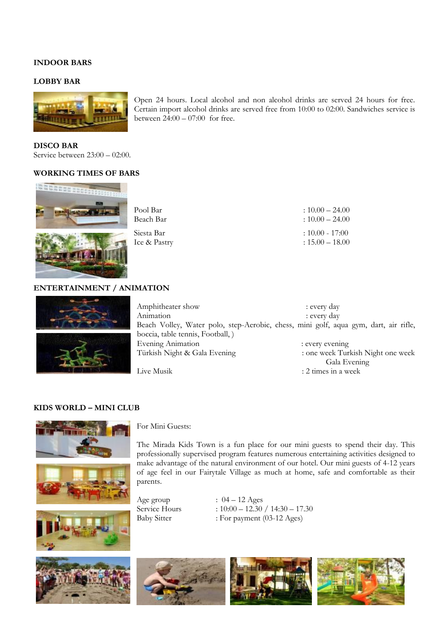## **INDOOR BARS**

## **LOBBY BAR**



**DISCO BAR** Service between 23:00 – 02:00.

#### **WORKING TIMES OF BARS**



Open 24 hours. Local alcohol and non alcohol drinks are served 24 hours for free. Certain import alcohol drinks are served free from 10:00 to 02:00. Sandwiches service is between  $24:00 - 07:00$  for free.

| Pool Bar     | $:10.00 - 24.00$  |
|--------------|-------------------|
| Beach Bar    | $:10.00 - 24.00$  |
| Siesta Bar   | $: 10.00 - 17:00$ |
| Ice & Pastry | $: 15.00 - 18.00$ |

## **ENTERTAINMENT / ANIMATION**





Amphitheater show : every day Animation : every day Beach Volley, Water polo, step-Aerobic, chess, mini golf, aqua gym, dart, air rifle, boccia, table tennis, Football, ) Evening Animation : every evening Türkish Night & Gala Evening : one week Turkish Night one week Gala Evening Live Musik : 2 times in a week

#### **KIDS WORLD – MINI CLUB**





The Mirada Kids Town is a fun place for our mini guests to spend their day. This professionally supervised program features numerous entertaining activities designed to make advantage of the natural environment of our hotel. Our mini guests of 4-12 years of age feel in our Fairytale Village as much at home, safe and comfortable as their parents.

Age group  $: 04 - 12$  Ages

Service Hours : 10:00 – 12.30 / 14:30 – 17.30<br>Baby Sitter : For payment (03-12 Ages)  $B$  For payment (03-12 Ages)





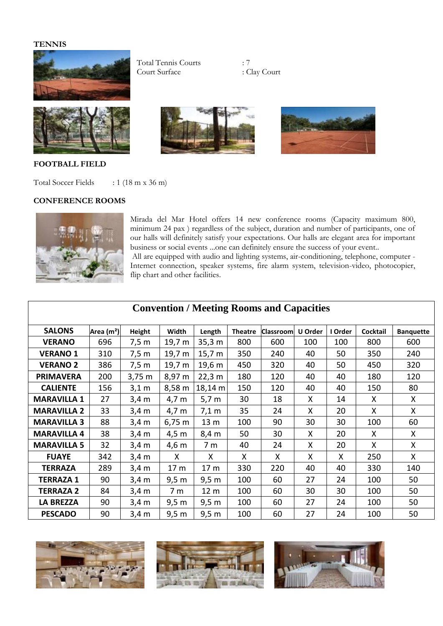## **TENNIS**



Total Tennis Courts : 7 Court Surface



**FOOTBALL FIELD**

Total Soccer Fields : 1 (18 m x 36 m)

## **CONFERENCE ROOMS**



Mirada del Mar Hotel offers 14 new conference rooms (Capacity maximum 800, minimum 24 pax ) regardless of the subject, duration and number of participants, one of our halls will definitely satisfy your expectations. Our halls are elegant area for important business or social events ...one can definitely ensure the success of your event..

All are equipped with audio and lighting systems, air-conditioning, telephone, computer - Internet connection, speaker systems, fire alarm system, television-video, photocopier, flip chart and other facilities.

| <b>SALONS</b>      | Area (m <sup>2</sup> ) | Height          | Width           | Length            | <b>Theatre</b> | <b>Classroom</b> | U Order | I Order | Cocktail | <b>Banquette</b> |
|--------------------|------------------------|-----------------|-----------------|-------------------|----------------|------------------|---------|---------|----------|------------------|
| <b>VERANO</b>      | 696                    | 7,5m            | 19,7 m          | 35,3 m            | 800            | 600              | 100     | 100     | 800      | 600              |
| <b>VERANO 1</b>    | 310                    | 7,5 m           | 19,7 m          | 15,7 m            | 350            | 240              | 40      | 50      | 350      | 240              |
| <b>VERANO 2</b>    | 386                    | 7,5 m           | 19,7 m          | 19,6 m            | 450            | 320              | 40      | 50      | 450      | 320              |
| <b>PRIMAVERA</b>   | 200                    | 3,75 m          | 8,97 m          | 22,3 m            | 180            | 120              | 40      | 40      | 180      | 120              |
| <b>CALIENTE</b>    | 156                    | $3,1 \text{ m}$ | 8,58 m          | $18,14 \;{\rm m}$ | 150            | 120              | 40      | 40      | 150      | 80               |
| <b>MARAVILLA 1</b> | 27                     | $3,4 \text{ m}$ | 4,7 m           | $5,7 \text{ m}$   | 30             | 18               | X       | 14      | X        | X                |
| <b>MARAVILLA 2</b> | 33                     | 3,4 m           | 4,7 m           | 7,1 m             | 35             | 24               | X       | 20      | X        | X                |
| <b>MARAVILLA 3</b> | 88                     | $3,4 \text{ m}$ | $6,75 \; m$     | 13 <sub>m</sub>   | 100            | 90               | 30      | 30      | 100      | 60               |
| <b>MARAVILLA 4</b> | 38                     | $3,4 \text{ m}$ | $4,5 \text{ m}$ | 8,4 m             | 50             | 30               | X       | 20      | X        | X                |
| <b>MARAVILLA 5</b> | 32                     | $3,4 \text{ m}$ | 4,6 m           | 7 m               | 40             | 24               | X       | 20      | X        | X                |
| <b>FUAYE</b>       | 342                    | $3,4 \text{ m}$ | X               | X                 | X              | X                | X       | X       | 250      | X                |
| <b>TERRAZA</b>     | 289                    | $3,4 \text{ m}$ | 17 <sub>m</sub> | 17 <sub>m</sub>   | 330            | 220              | 40      | 40      | 330      | 140              |
| <b>TERRAZA 1</b>   | 90                     | $3,4 \text{ m}$ | 9,5 m           | 9,5 m             | 100            | 60               | 27      | 24      | 100      | 50               |
| <b>TERRAZA 2</b>   | 84                     | $3,4 \text{ m}$ | 7 <sub>m</sub>  | 12 <sub>m</sub>   | 100            | 60               | 30      | 30      | 100      | 50               |
| <b>LA BREZZA</b>   | 90                     | $3,4 \text{ m}$ | 9,5 m           | 9,5 m             | 100            | 60               | 27      | 24      | 100      | 50               |
| <b>PESCADO</b>     | 90                     | $3,4 \text{ m}$ | 9,5 m           | 9,5 m             | 100            | 60               | 27      | 24      | 100      | 50               |

# **Convention / Meeting Rooms and Capacities**







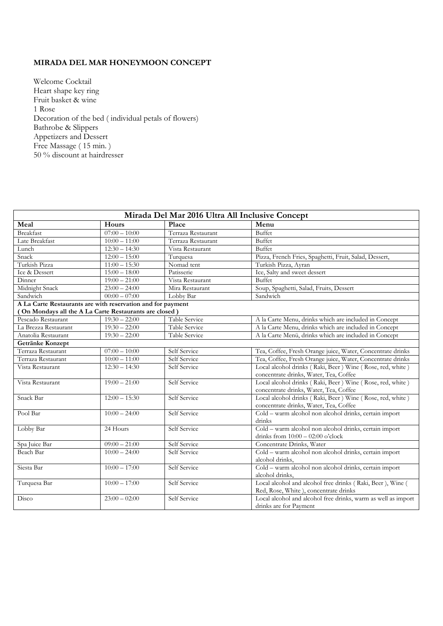# **MIRADA DEL MAR HONEYMOON CONCEPT**

Welcome Cocktail Heart shape key ring Fruit basket & wine 1 Rose Decoration of the bed ( individual petals of flowers) Bathrobe & Slippers Appetizers and Dessert Free Massage (15 min.) 50 % discount at hairdresser

| Mirada Del Mar 2016 Ultra All Inclusive Concept             |                 |                    |                                                                                                     |  |
|-------------------------------------------------------------|-----------------|--------------------|-----------------------------------------------------------------------------------------------------|--|
| Meal                                                        | Hours           | Place              | Menu                                                                                                |  |
| <b>Breakfast</b>                                            | $07:00 - 10:00$ | Terraza Restaurant | Buffet                                                                                              |  |
| Late Breakfast                                              | $10:00 - 11:00$ | Terraza Restaurant | Buffet                                                                                              |  |
| Lunch                                                       | $12:30 - 14:30$ | Vista Restaurant   | <b>Buffet</b>                                                                                       |  |
| Snack                                                       | $12:00 - 15:00$ | Turquesa           | Pizza, French Fries, Spaghetti, Fruit, Salad, Dessert,                                              |  |
| Turkish Pizza                                               | $11:00 - 15:30$ | Nomad tent         | Turkish Pizza, Ayran                                                                                |  |
| Ice & Dessert                                               | $15:00 - 18:00$ | Patisserie         | Ice, Salty and sweet dessert                                                                        |  |
| Dinner                                                      | $19:00 - 21:00$ | Vista Restaurant   | <b>Buffet</b>                                                                                       |  |
| Midnight Snack                                              | $23:00 - 24:00$ | Mira Restaurant    | Soup, Spaghetti, Salad, Fruits, Dessert                                                             |  |
| Sandwich                                                    | $00:00 - 07:00$ | Lobby Bar          | Sandwich                                                                                            |  |
| A La Carte Restaurants are with reservation and for payment |                 |                    |                                                                                                     |  |
| (On Mondays all the A La Carte Restaurants are closed)      |                 |                    |                                                                                                     |  |
| Pescado Restaurant                                          | $19:30 - 22:00$ | Table Service      | A la Carte Menu, drinks which are included in Concept                                               |  |
| La Brezza Restaurant                                        | $19:30 - 22:00$ | Table Service      | A la Carte Menu, drinks which are included in Concept                                               |  |
| Anatolia Restaurant                                         | $19:30 - 22:00$ | Table Service      | A la Carte Menü, drinks which are included in Concept                                               |  |
| Getränke Konzept                                            |                 |                    |                                                                                                     |  |
| Terraza Restaurant                                          | $07:00 - 10:00$ | Self Service       | Tea, Coffee, Fresh Orange juice, Water, Concentrate drinks                                          |  |
| Terraza Restaurant                                          | $10:00 - 11:00$ | Self Service       | Tea, Coffee, Fresh Orange juice, Water, Concentrate drinks                                          |  |
| Vista Restaurant                                            | $12:30 - 14:30$ | Self Service       | Local alcohol drinks (Raki, Beer) Wine (Rose, red, white)<br>concentrate drinks, Water, Tea, Coffee |  |
| Vista Restaurant                                            | $19:00 - 21:00$ | Self Service       | Local alcohol drinks (Raki, Beer) Wine (Rose, red, white)<br>concentrate drinks, Water, Tea, Coffee |  |
| Snack Bar                                                   | $12:00 - 15:30$ | Self Service       | Local alcohol drinks (Raki, Beer) Wine (Rose, red, white)<br>concentrate drinks, Water, Tea, Coffee |  |
| Pool Bar                                                    | $10:00 - 24:00$ | Self Service       | Cold - warm alcohol non alcohol drinks, certain import<br>drinks                                    |  |
| Lobby Bar                                                   | 24 Hours        | Self Service       | Cold - warm alcohol non alcohol drinks, certain import<br>drinks from $10:00 - 02:00$ o'clock       |  |
| Spa Juice Bar                                               | $09:00 - 21:00$ | Self Service       | Concentrate Drinks, Water                                                                           |  |
| Beach Bar                                                   | $10:00 - 24:00$ | Self Service       | Cold - warm alcohol non alcohol drinks, certain import<br>alcohol drinks,                           |  |
| Siesta Bar                                                  | $10:00 - 17:00$ | Self Service       | Cold - warm alcohol non alcohol drinks, certain import<br>alcohol drinks,                           |  |
| Turquesa Bar                                                | $10:00 - 17:00$ | Self Service       | Local alcohol and alcohol free drinks (Raki, Beer), Wine (<br>Red, Rose, White), concentrate drinks |  |
| Disco                                                       | $23:00 - 02:00$ | Self Service       | Local alcohol and alcohol free drinks, warm as well as import<br>drinks are for Payment             |  |